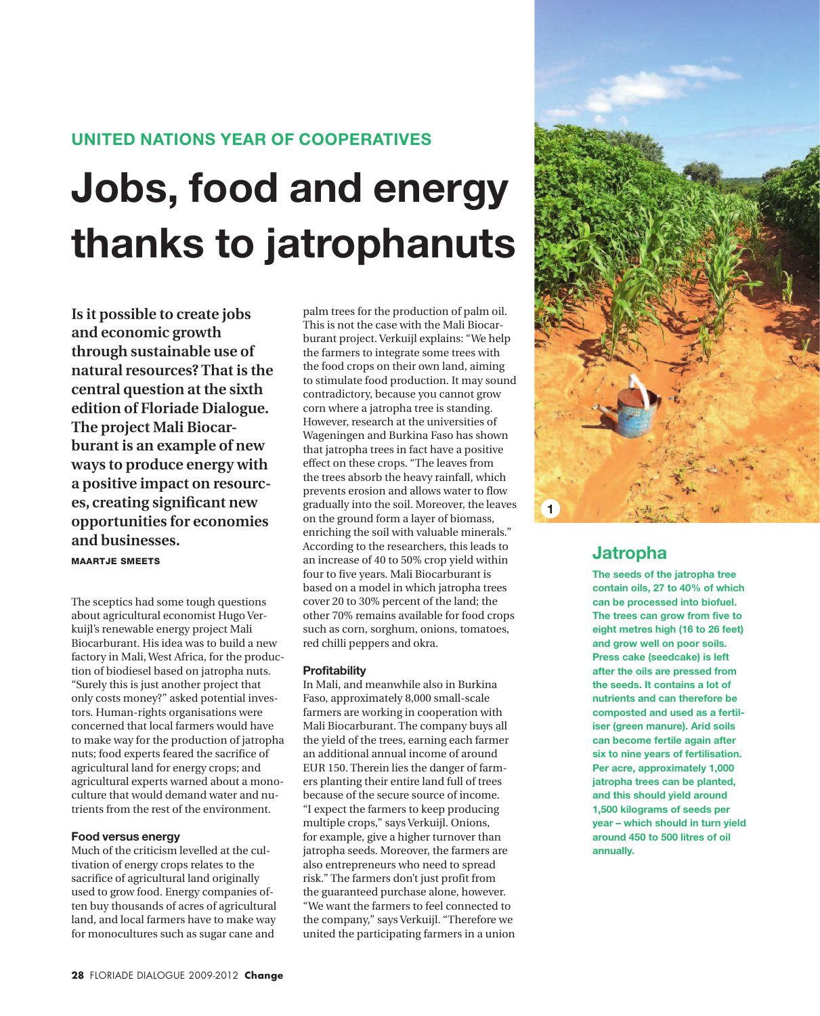## **United Nations year of cooperatives**

# **Jobs, food and energy thanks to jatrophanuts**

**Is it possible to create jobs and economic growth through sustainable use of natural resources? That is the central question at the sixth edition of Floriade Dialogue. The project Mali Biocarburant is an example of new ways to produce energy with a positive impact on resources, creating significant new opportunities for economies and businesses.**

Maartje Smeets

The sceptics had some tough questions about agricultural economist Hugo Verkuijl's renewable energy project Mali Biocarburant. His idea was to build a new factory in Mali, West Africa, for the production of biodiesel based on jatropha nuts. "Surely this is just another project that only costs money?" asked potential investors. Human-rights organisations were concerned that local farmers would have to make way for the production of jatropha nuts; food experts feared the sacrifice of agricultural land for energy crops; and agricultural experts warned about a monoculture that would demand water and nutrients from the rest of the environment.

## **Food versus energy**

Much of the criticism levelled at the cultivation of energy crops relates to the sacrifice of agricultural land originally used to grow food. Energy companies often buy thousands of acres of agricultural land, and local farmers have to make way for monocultures such as sugar cane and

palm trees for the production of palm oil. This is not the case with the Mali Biocarburant project. Verkuijl explains: "We help the farmers to integrate some trees with the food crops on their own land, aiming to stimulate food production. It may sound contradictory, because you cannot grow corn where a jatropha tree is standing. However, research at the universities of Wageningen and Burkina Faso has shown that jatropha trees in fact have a positive effect on these crops. "The leaves from the trees absorb the heavy rainfall, which prevents erosion and allows water to flow gradually into the soil. Moreover, the leaves on the ground form a layer of biomass, enriching the soil with valuable minerals." According to the researchers, this leads to an increase of 40 to 50% crop yield within four to five years. Mali Biocarburant is based on a model in which jatropha trees cover 20 to 30% percent of the land; the other 70% remains available for food crops such as corn, sorghum, onions, tomatoes, red chilli peppers and okra.

## **Profitability**

In Mali, and meanwhile also in Burkina Faso, approximately 8,000 small-scale farmers are working in cooperation with Mali Biocarburant. The company buys all the yield of the trees, earning each farmer an additional annual income of around EUR 150. Therein lies the danger of farmers planting their entire land full of trees because of the secure source of income. "I expect the farmers to keep producing multiple crops," says Verkuijl. Onions, for example, give a higher turnover than jatropha seeds. Moreover, the farmers are also entrepreneurs who need to spread risk." The farmers don't just profit from the guaranteed purchase alone, however. "We want the farmers to feel connected to the company," says Verkuijl. "Therefore we united the participating farmers in a union



# **Jatropha**

**The seeds of the jatropha tree contain oils, 27 to 40% of which can be processed into biofuel. The trees can grow from five to eight metres high (16 to 26 feet) and grow well on poor soils. Press cake (seedcake) is left after the oils are pressed from the seeds. It contains a lot of nutrients and can therefore be composted and used as a fertiliser (green manure). Arid soils can become fertile again after six to nine years of fertilisation. Per acre, approximately 1,000 jatropha trees can be planted, and this should yield around 1,500 kilograms of seeds per year – which should in turn yield around 450 to 500 litres of oil annually.**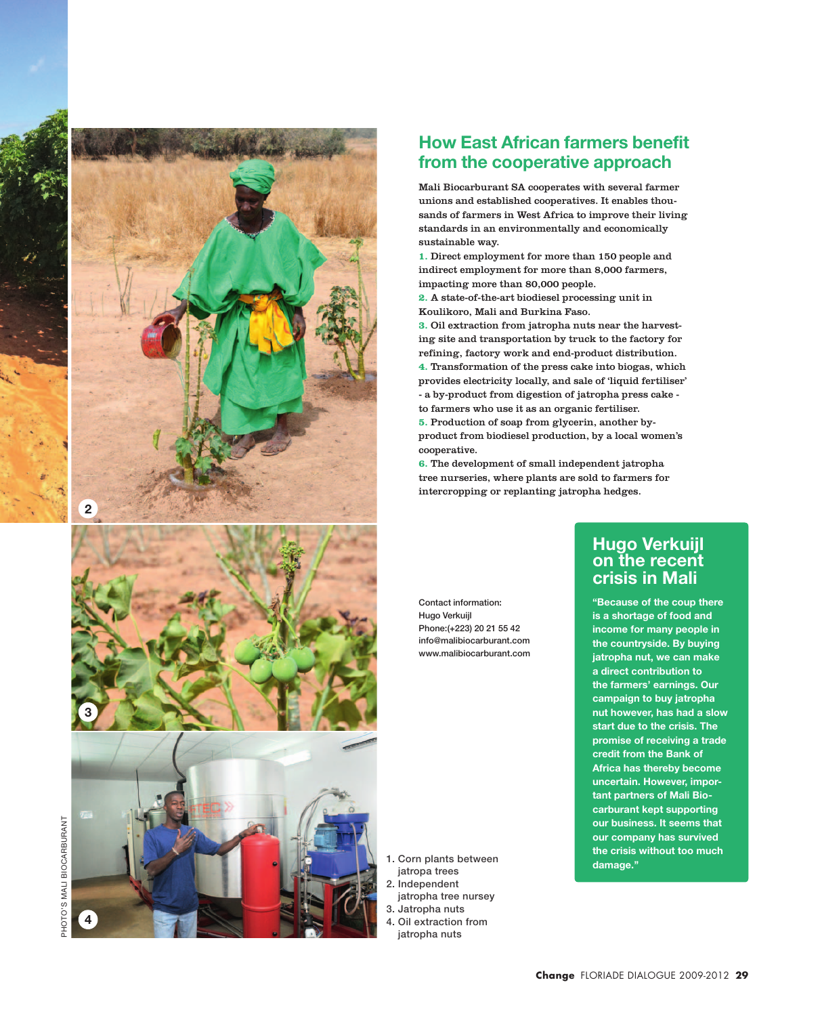

# **How East African farmers benefit from the cooperative approach**

Mali Biocarburant SA cooperates with several farmer unions and established cooperatives. It enables thou sands of farmers in West Africa to improve their living standards in an environmentally and economically sustainable way.

**1.** Direct employment for more than 150 people and indirect employment for more than 8,000 farmers, impacting more than 80,000 people.

**2.** A state-of-the-art biodiesel processing unit in Koulikoro, Mali and Burkina Faso.

**3.** Oil extraction from jatropha nuts near the harvest ing site and transportation by truck to the factory for refining, factory work and end-product distribution.

**4.** Transformation of the press cake into biogas, which provides electricity locally, and sale of 'liquid fertiliser' - a by-product from digestion of jatropha press cake -

to farmers who use it as an organic fertiliser.

**5.** Production of soap from glycerin, another byproduct from biodiesel production, by a local women's cooperative.

**6.** The development of small independent jatropha tree nurseries, where plants are sold to farmers for intercropping or replanting jatropha hedges.

Contact information: Hugo Verkuijl Phone:(+223) 20 21 55 42 info@malibiocarburant.com www.malibiocarburant.com

# **Hugo Verkuijl on the recent crisis in Mali**

**"Because of the coup there is a shortage of food and income for many people in the countryside. By buying jatropha nut, we can make a direct contribution to the farmers' earnings. Our campaign to buy jatropha nut however, has had a slow start due to the crisis. The promise of receiving a trade credit from the Bank of Africa has thereby become uncertain. However, impor tant partners of Mali Bio carburant kept supporting our business. It seems that our company has survived the crisis without too much damage.''**

1. Corn plants between jatropa trees 2. Independent

- jatropha tree nursey 3. Jatropha nuts
- 4. Oil extraction from
- jatropha nuts